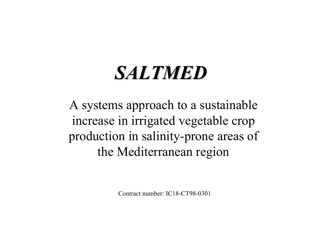# *SALTMED SALTMED*

A systems approach to a sustainable increase in irrigated vegetable crop production in salinity-prone areas of the Mediterranean region

Contract number: IC18-CT98-0301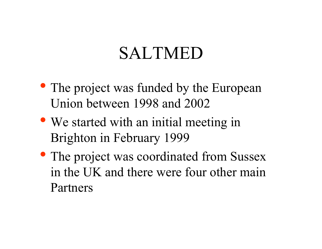### SALTMED

- The project was funded by the European Union between 1998 and 2002
- We started with an initial meeting in Brighton in February 1999
- The project was coordinated from Sussex in the UK and there were four other main Partners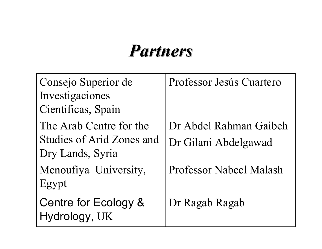### *Partners Partners*

| Consejo Superior de<br>Investigaciones<br>Cientificas, Spain                    | Professor Jesús Cuartero                       |
|---------------------------------------------------------------------------------|------------------------------------------------|
| The Arab Centre for the<br><b>Studies of Arid Zones and</b><br>Dry Lands, Syria | Dr Abdel Rahman Gaibeh<br>Dr Gilani Abdelgawad |
| Menoufiya University,<br>Egypt                                                  | <b>Professor Nabeel Malash</b>                 |
| Centre for Ecology &<br>Hydrology, UK                                           | Dr Ragab Ragab                                 |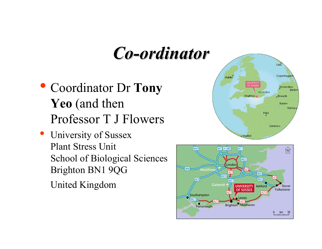### *Co-ordinator ordinator*

- Coordinator Dr **Tony Yeo** (and then Professor T J Flowers
- University of Sussex Plant Stress Unit School of Biological Sciences Brighton BN1 9QG United Kingdom



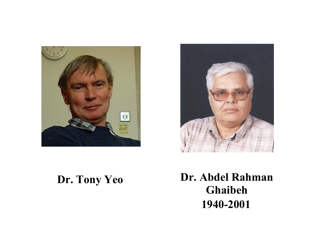



#### **Dr. Tony Yeo**

#### **Dr. Abdel Rahman Ghaibeh 1940-2001**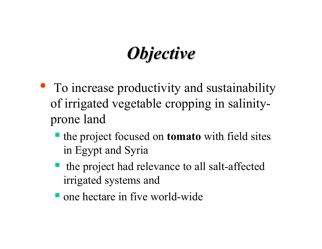## *Objective Objective*

- To increase productivity and sustainability of irrigated vegetable cropping in salinityprone land
	- the project focused on **tomato** with field sites in Egypt and Syria
	- the project had relevance to all salt-affected irrigated systems and
	- **T** one hectare in five world-wide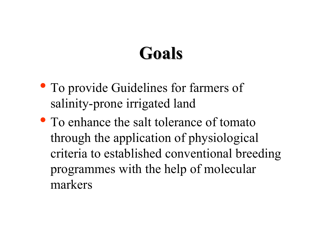### **Goals**

- To provide Guidelines for farmers of salinity-prone irrigated land
- To enhance the salt tolerance of tomato through the application of physiological criteria to established conventional breeding programmes with the help of molecular markers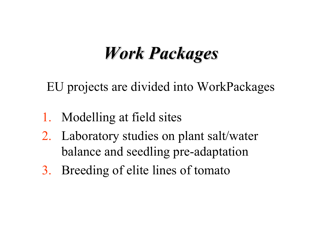### *Work Packages Work Packages*

EU projects are divided into WorkPackages

- 1. Modelling at field sites
- 2. Laboratory studies on plant salt/water balance and seedling pre-adaptation
- 3. Breeding of elite lines of tomato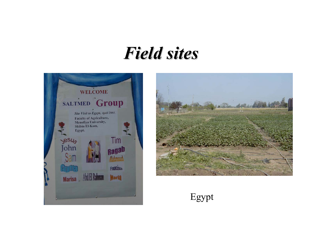#### *Field sites Field sites*





Egypt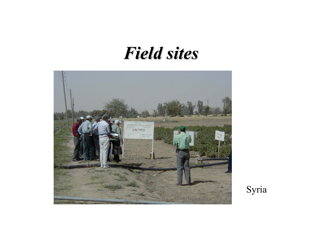#### *Field sites Field sites*



Syria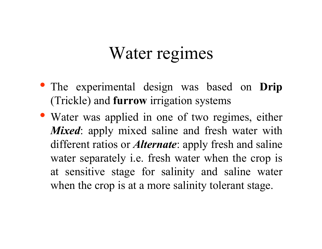### Water regimes

- The experimental design was based on **Drip** (Trickle) and **furrow** irrigation systems
- Water was applied in one of two regimes, either *Mixed*: apply mixed saline and fresh water with different ratios or *Alternate*: apply fresh and saline water separately i.e. fresh water when the crop is at sensitive stage for salinity and saline water when the crop is at a more salinity tolerant stage.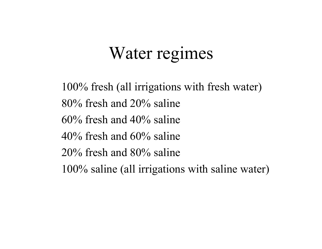### Water regimes

100% fresh (all irrigations with fresh water) 80% fresh and 20% saline 60% fresh and 40% saline 40% fresh and 60% saline 20% fresh and 80% saline 100% saline (all irrigations with saline water)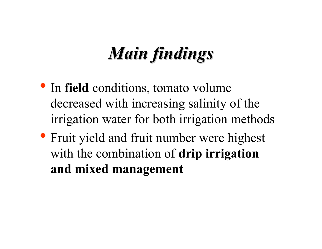- In **field** conditions, tomato volume decreased with increasing salinity of the irrigation water for both irrigation methods
- Fruit yield and fruit number were highest with the combination of **drip irrigation and mixed management**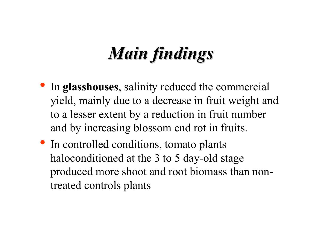- $\bullet$  In **glasshouses**, salinity reduced the commercial yield, mainly due to a decrease in fruit weight and to a lesser extent by a reduction in fruit number and by increasing blossom end rot in fruits.
- In controlled conditions, tomato plants haloconditioned at the 3 to 5 day-old stage produced more shoot and root biomass than nontreated controls plants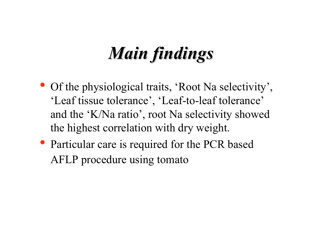- Of the physiological traits, 'Root Na selectivity', 'Leaf tissue tolerance', 'Leaf-to-leaf tolerance' and the 'K/Na ratio', root Na selectivity showed the highest correlation with dry weight.
- Particular care is required for the PCR based AFLP procedure using tomato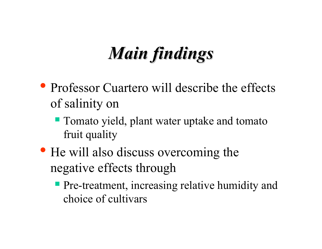- Professor Cuartero will describe the effects of salinity on
	- **Tomato yield, plant water uptake and tomato** fruit quality
- He will also discuss overcoming the negative effects through
	- **Pre-treatment, increasing relative humidity and** choice of cultivars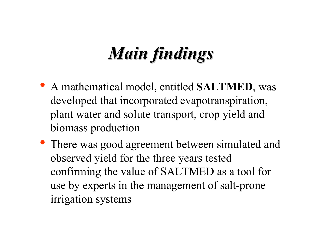- A mathematical model, entitled **SALTMED**, <sup>w</sup> a s developed that incorporated evapotranspiration, plant water and solute transport, crop yield and biomass production
- There was good agreement between simulated and observed yield for the three years tested confirming the value of SALTMED as a tool for use by experts in the management of salt-prone irrigation systems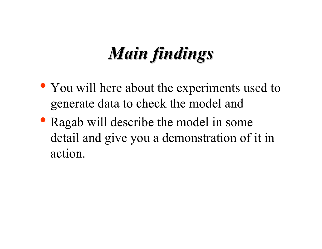- You will here about the experiments used to generate data to check the model and
- Ragab will describe the model in some detail and give you a demonstration of it in action.